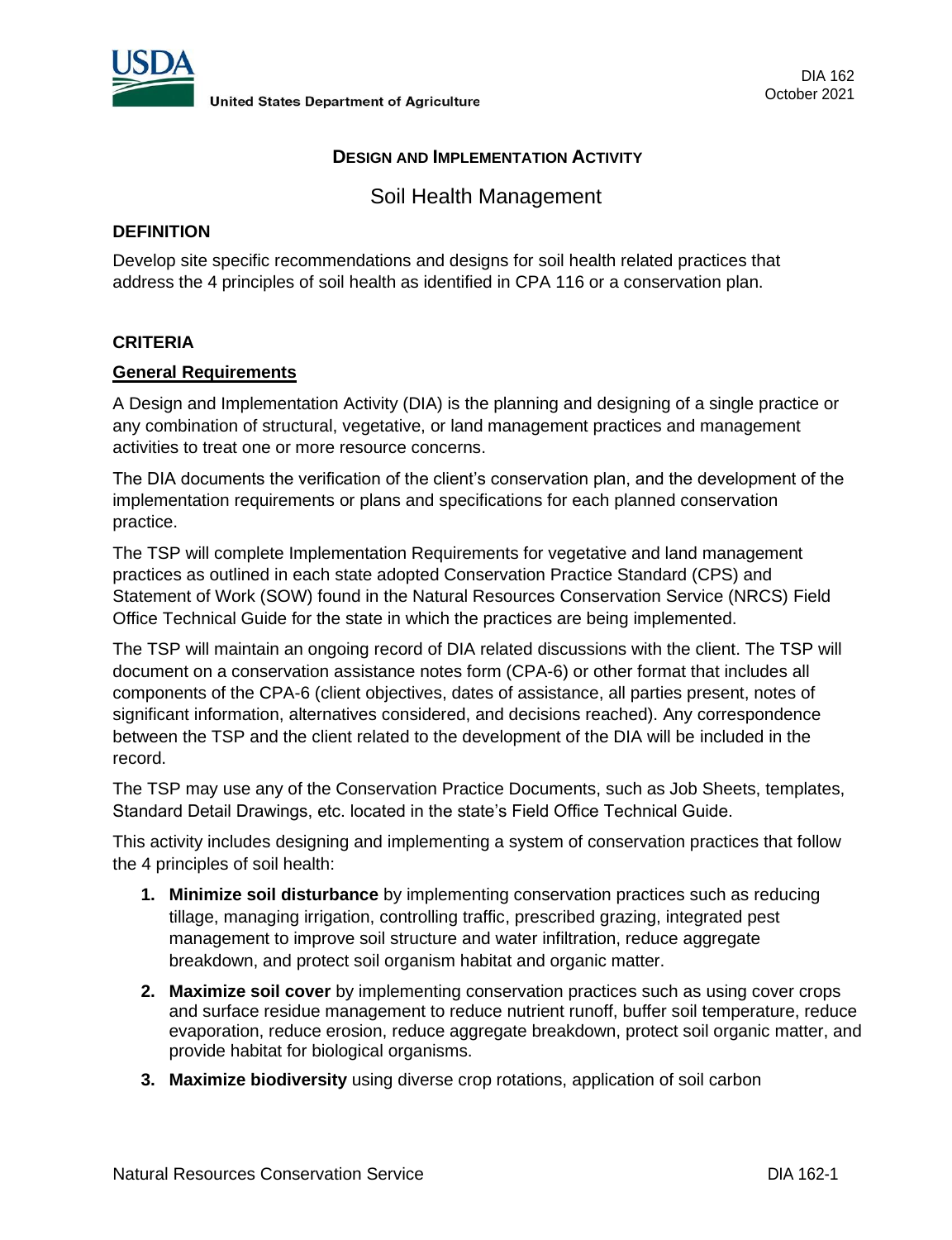

### **DESIGN AND IMPLEMENTATION ACTIVITY**

Soil Health Management

### **DEFINITION**

Develop site specific recommendations and designs for soil health related practices that address the 4 principles of soil health as identified in CPA 116 or a conservation plan.

### **CRITERIA**

#### **General Requirements**

A Design and Implementation Activity (DIA) is the planning and designing of a single practice or any combination of structural, vegetative, or land management practices and management activities to treat one or more resource concerns.

The DIA documents the verification of the client's conservation plan, and the development of the implementation requirements or plans and specifications for each planned conservation practice.

The TSP will complete Implementation Requirements for vegetative and land management practices as outlined in each state adopted Conservation Practice Standard (CPS) and Statement of Work (SOW) found in the Natural Resources Conservation Service (NRCS) Field Office Technical Guide for the state in which the practices are being implemented.

The TSP will maintain an ongoing record of DIA related discussions with the client. The TSP will document on a conservation assistance notes form (CPA-6) or other format that includes all components of the CPA-6 (client objectives, dates of assistance, all parties present, notes of significant information, alternatives considered, and decisions reached). Any correspondence between the TSP and the client related to the development of the DIA will be included in the record.

The TSP may use any of the Conservation Practice Documents, such as Job Sheets, templates, Standard Detail Drawings, etc. located in the state's Field Office Technical Guide.

This activity includes designing and implementing a system of conservation practices that follow the 4 principles of soil health:

- **1. Minimize soil disturbance** by implementing conservation practices such as reducing tillage, managing irrigation, controlling traffic, prescribed grazing, integrated pest management to improve soil structure and water infiltration, reduce aggregate breakdown, and protect soil organism habitat and organic matter.
- **2. Maximize soil cover** by implementing conservation practices such as using cover crops and surface residue management to reduce nutrient runoff, buffer soil temperature, reduce evaporation, reduce erosion, reduce aggregate breakdown, protect soil organic matter, and provide habitat for biological organisms.
- **3. Maximize biodiversity** using diverse crop rotations, application of soil carbon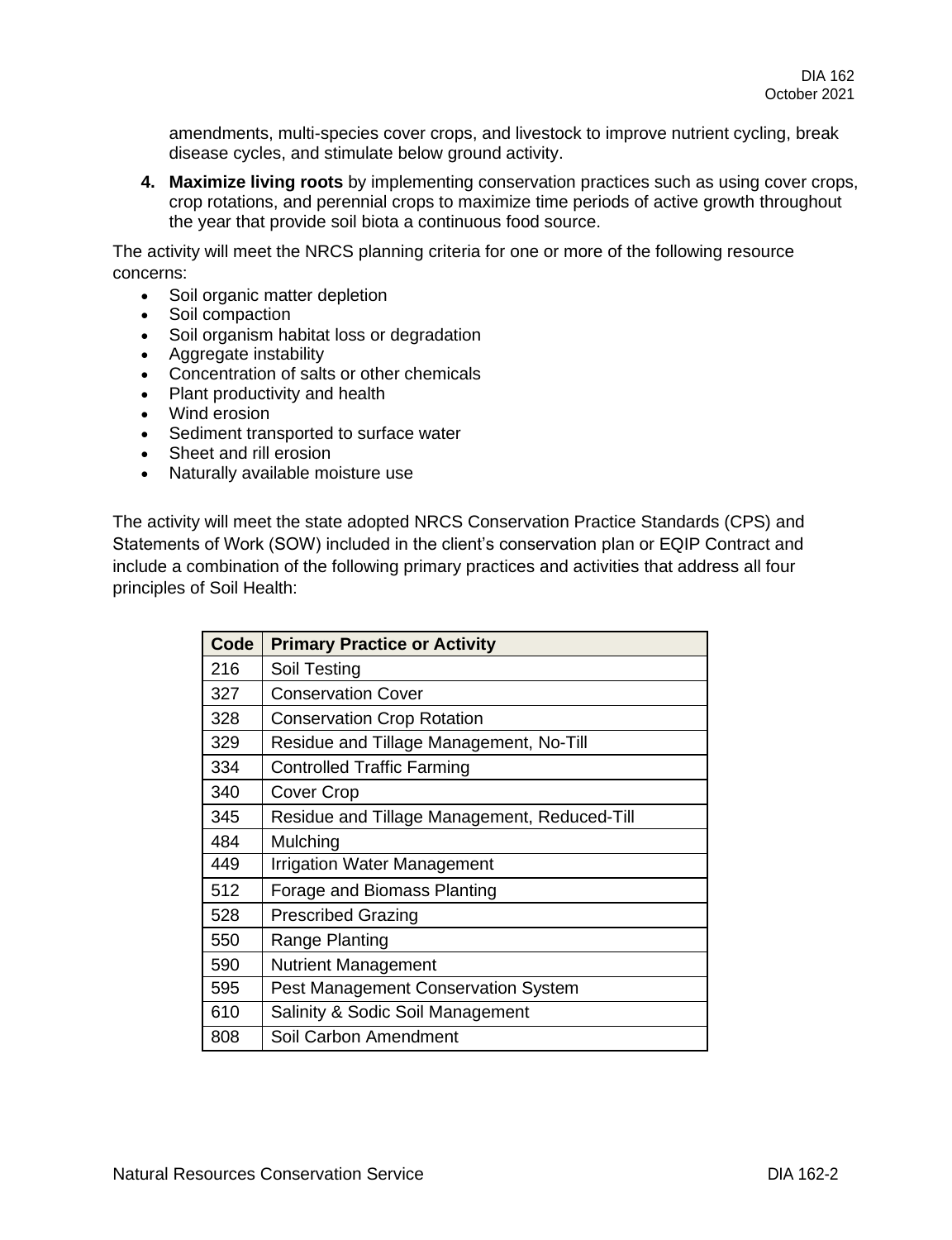amendments, multi-species cover crops, and livestock to improve nutrient cycling, break disease cycles, and stimulate below ground activity.

**4. Maximize living roots** by implementing conservation practices such as using cover crops, crop rotations, and perennial crops to maximize time periods of active growth throughout the year that provide soil biota a continuous food source.

The activity will meet the NRCS planning criteria for one or more of the following resource concerns:

- Soil organic matter depletion
- Soil compaction
- Soil organism habitat loss or degradation
- Aggregate instability
- Concentration of salts or other chemicals
- Plant productivity and health
- Wind erosion
- Sediment transported to surface water
- Sheet and rill erosion
- Naturally available moisture use

The activity will meet the state adopted NRCS Conservation Practice Standards (CPS) and Statements of Work (SOW) included in the client's conservation plan or EQIP Contract and include a combination of the following primary practices and activities that address all four principles of Soil Health:

| <b>Code</b> | <b>Primary Practice or Activity</b>          |
|-------------|----------------------------------------------|
| 216         | Soil Testing                                 |
| 327         | <b>Conservation Cover</b>                    |
| 328         | <b>Conservation Crop Rotation</b>            |
| 329         | Residue and Tillage Management, No-Till      |
| 334         | <b>Controlled Traffic Farming</b>            |
| 340         | <b>Cover Crop</b>                            |
| 345         | Residue and Tillage Management, Reduced-Till |
| 484         | Mulching                                     |
| 449         | <b>Irrigation Water Management</b>           |
| 512         | Forage and Biomass Planting                  |
| 528         | <b>Prescribed Grazing</b>                    |
| 550         | Range Planting                               |
| 590         | <b>Nutrient Management</b>                   |
| 595         | <b>Pest Management Conservation System</b>   |
| 610         | Salinity & Sodic Soil Management             |
| 808         | Soil Carbon Amendment                        |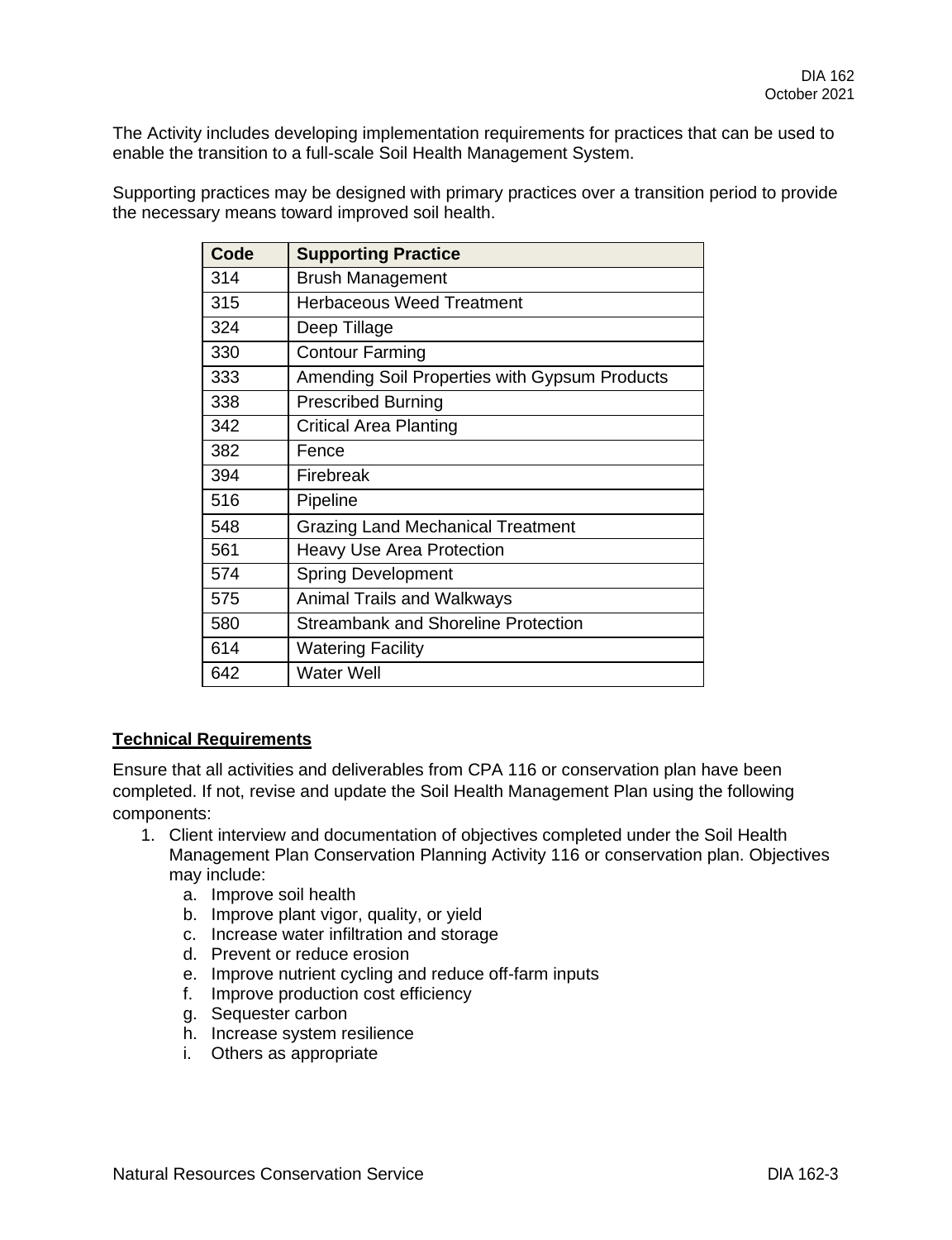The Activity includes developing implementation requirements for practices that can be used to enable the transition to a full-scale Soil Health Management System.

Supporting practices may be designed with primary practices over a transition period to provide the necessary means toward improved soil health.

| Code | <b>Supporting Practice</b>                    |
|------|-----------------------------------------------|
| 314  | <b>Brush Management</b>                       |
| 315  | <b>Herbaceous Weed Treatment</b>              |
| 324  | Deep Tillage                                  |
| 330  | <b>Contour Farming</b>                        |
| 333  | Amending Soil Properties with Gypsum Products |
| 338  | <b>Prescribed Burning</b>                     |
| 342  | Critical Area Planting                        |
| 382  | Fence                                         |
| 394  | Firebreak                                     |
| 516  | Pipeline                                      |
| 548  | <b>Grazing Land Mechanical Treatment</b>      |
| 561  | <b>Heavy Use Area Protection</b>              |
| 574  | <b>Spring Development</b>                     |
| 575  | <b>Animal Trails and Walkways</b>             |
| 580  | <b>Streambank and Shoreline Protection</b>    |
| 614  | <b>Watering Facility</b>                      |
| 642  | <b>Water Well</b>                             |

#### **Technical Requirements**

Ensure that all activities and deliverables from CPA 116 or conservation plan have been completed. If not, revise and update the Soil Health Management Plan using the following components:

- 1. Client interview and documentation of objectives completed under the Soil Health Management Plan Conservation Planning Activity 116 or conservation plan. Objectives may include:
	- a. Improve soil health
	- b. Improve plant vigor, quality, or yield
	- c. Increase water infiltration and storage
	- d. Prevent or reduce erosion
	- e. Improve nutrient cycling and reduce off-farm inputs
	- f. Improve production cost efficiency
	- g. Sequester carbon
	- h. Increase system resilience
	- i. Others as appropriate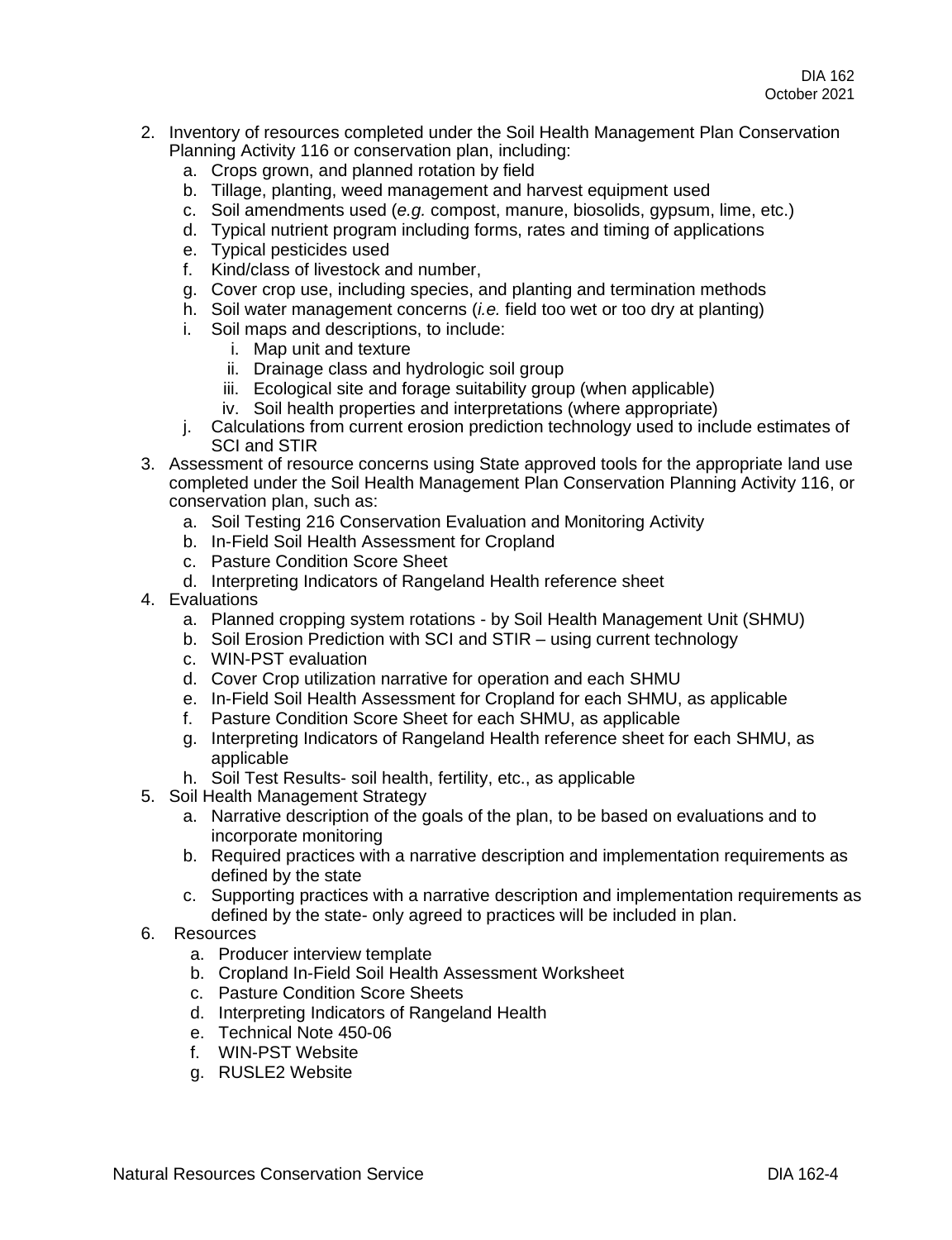- 2. Inventory of resources completed under the Soil Health Management Plan Conservation Planning Activity 116 or conservation plan, including:
	- a. Crops grown, and planned rotation by field
	- b. Tillage, planting, weed management and harvest equipment used
	- c. Soil amendments used (*e.g.* compost, manure, biosolids, gypsum, lime, etc.)
	- d. Typical nutrient program including forms, rates and timing of applications
	- e. Typical pesticides used
	- f. Kind/class of livestock and number,
	- g. Cover crop use, including species, and planting and termination methods
	- h. Soil water management concerns (*i.e.* field too wet or too dry at planting)
	- i. Soil maps and descriptions, to include:
		- i. Map unit and texture
		- ii. Drainage class and hydrologic soil group
		- iii. Ecological site and forage suitability group (when applicable)
		- iv. Soil health properties and interpretations (where appropriate)
	- j. Calculations from current erosion prediction technology used to include estimates of SCI and STIR
- 3. Assessment of resource concerns using State approved tools for the appropriate land use completed under the Soil Health Management Plan Conservation Planning Activity 116, or conservation plan, such as:
	- a. Soil Testing 216 Conservation Evaluation and Monitoring Activity
	- b. In-Field Soil Health Assessment for Cropland
	- c. Pasture Condition Score Sheet
	- d. Interpreting Indicators of Rangeland Health reference sheet
- 4. Evaluations
	- a. Planned cropping system rotations by Soil Health Management Unit (SHMU)
	- b. Soil Erosion Prediction with SCI and STIR using current technology
	- c. WIN-PST evaluation
	- d. Cover Crop utilization narrative for operation and each SHMU
	- e. In-Field Soil Health Assessment for Cropland for each SHMU, as applicable
	- f. Pasture Condition Score Sheet for each SHMU, as applicable
	- g. Interpreting Indicators of Rangeland Health reference sheet for each SHMU, as applicable
	- h. Soil Test Results- soil health, fertility, etc., as applicable
- 5. Soil Health Management Strategy
	- a. Narrative description of the goals of the plan, to be based on evaluations and to incorporate monitoring
	- b. Required practices with a narrative description and implementation requirements as defined by the state
	- c. Supporting practices with a narrative description and implementation requirements as defined by the state- only agreed to practices will be included in plan.
- 6. Resources
	- a. Producer interview template
	- b. Cropland In-Field Soil Health Assessment Worksheet
	- c. Pasture Condition Score Sheets
	- d. Interpreting Indicators of Rangeland Health
	- e. Technical Note 450-06
	- f. WIN-PST Website
	- g. RUSLE2 Website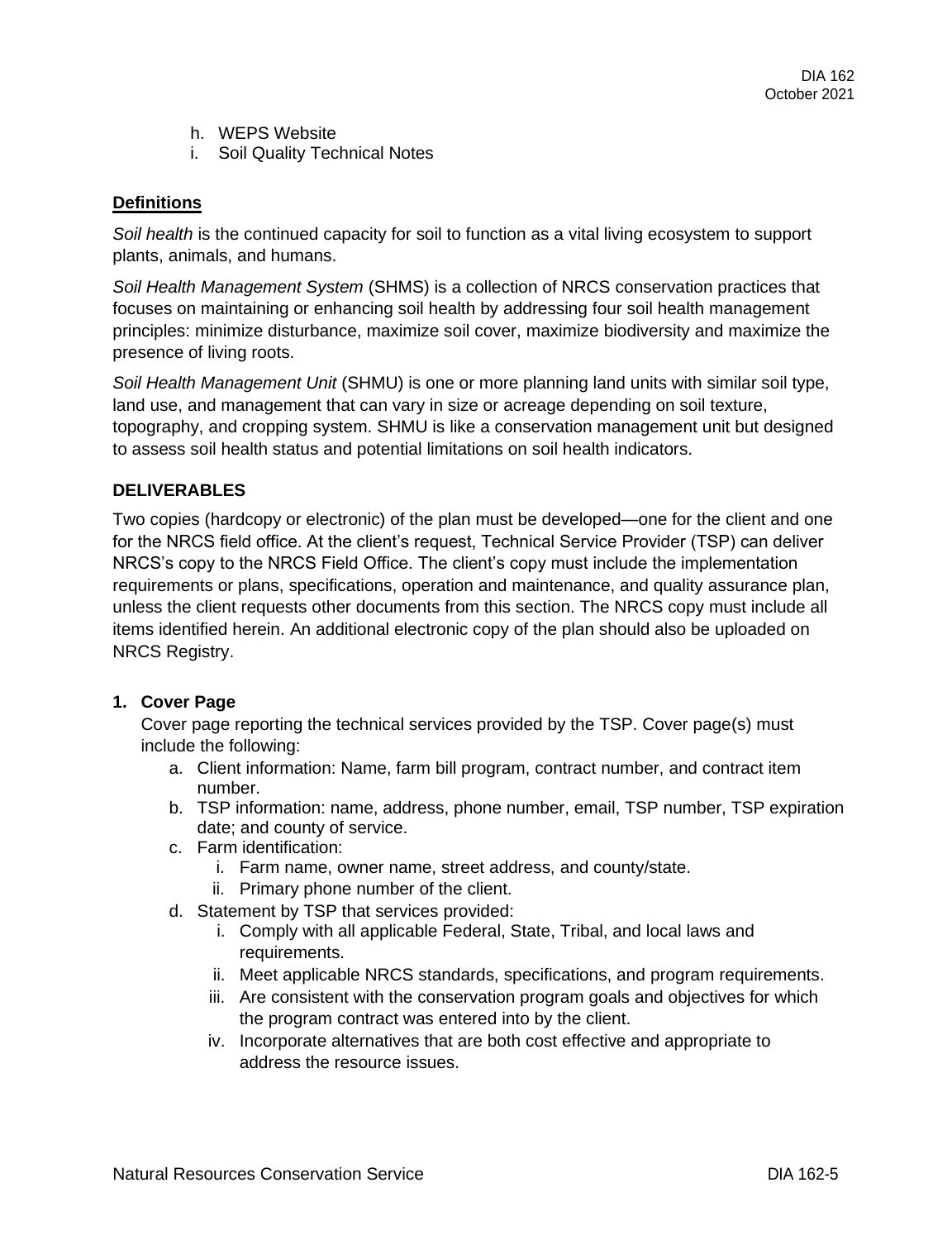- h. WEPS Website
- i. Soil Quality Technical Notes

## **Definitions**

*Soil health* is the continued capacity for soil to function as a vital living ecosystem to support plants, animals, and humans.

*Soil Health Management System* (SHMS) is a collection of NRCS conservation practices that focuses on maintaining or enhancing soil health by addressing four soil health management principles: minimize disturbance, maximize soil cover, maximize biodiversity and maximize the presence of living roots.

*Soil Health Management Unit* (SHMU) is one or more planning land units with similar soil type, land use, and management that can vary in size or acreage depending on soil texture, topography, and cropping system. SHMU is like a conservation management unit but designed to assess soil health status and potential limitations on soil health indicators.

# **DELIVERABLES**

Two copies (hardcopy or electronic) of the plan must be developed—one for the client and one for the NRCS field office. At the client's request, Technical Service Provider (TSP) can deliver NRCS's copy to the NRCS Field Office. The client's copy must include the implementation requirements or plans, specifications, operation and maintenance, and quality assurance plan, unless the client requests other documents from this section. The NRCS copy must include all items identified herein. An additional electronic copy of the plan should also be uploaded on NRCS Registry.

#### **1. Cover Page**

Cover page reporting the technical services provided by the TSP. Cover page(s) must include the following:

- a. Client information: Name, farm bill program, contract number, and contract item number.
- b. TSP information: name, address, phone number, email, TSP number, TSP expiration date; and county of service.
- c. Farm identification:
	- i. Farm name, owner name, street address, and county/state.
	- ii. Primary phone number of the client.
- d. Statement by TSP that services provided:
	- i. Comply with all applicable Federal, State, Tribal, and local laws and requirements.
	- ii. Meet applicable NRCS standards, specifications, and program requirements.
	- iii. Are consistent with the conservation program goals and objectives for which the program contract was entered into by the client.
	- iv. Incorporate alternatives that are both cost effective and appropriate to address the resource issues.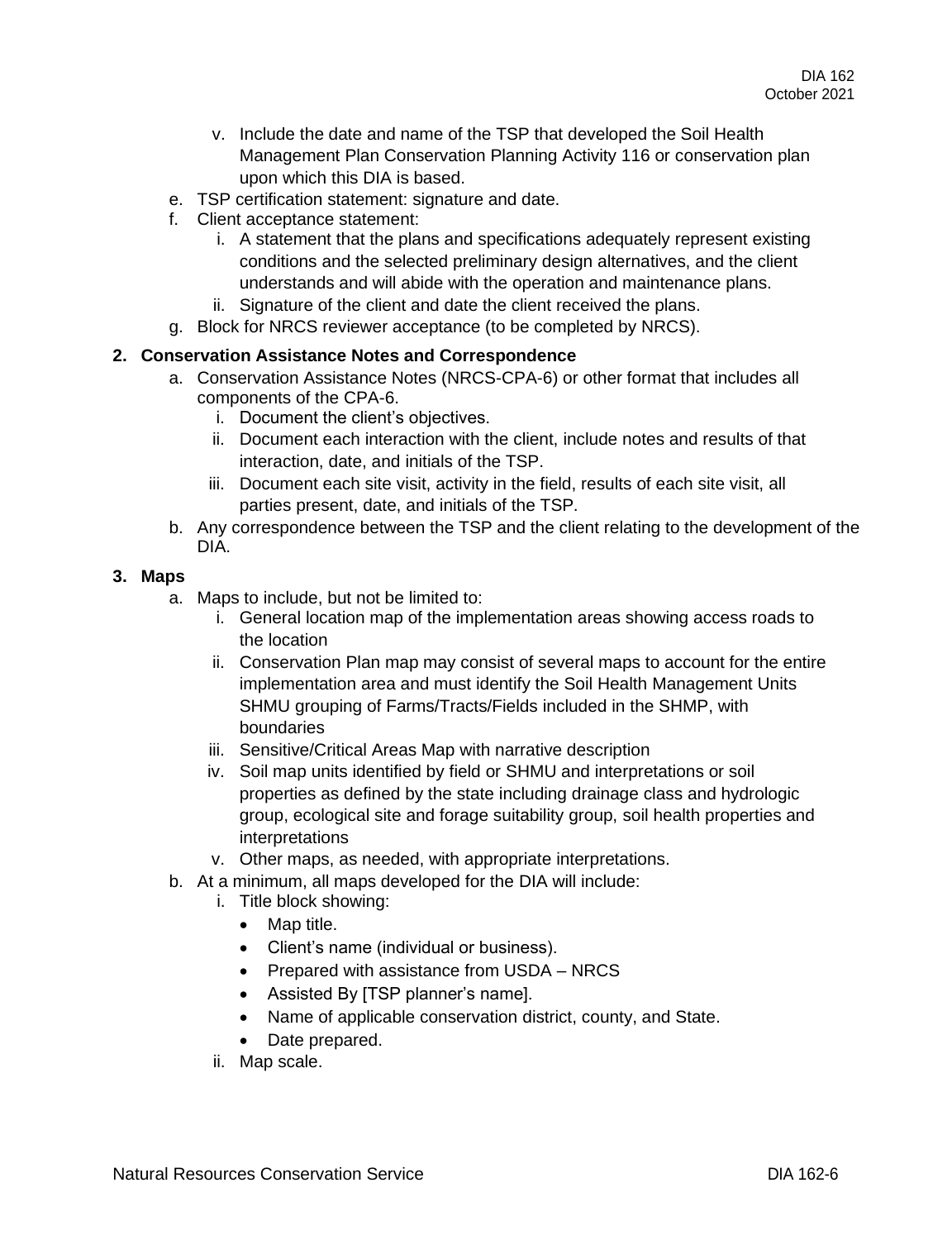- v. Include the date and name of the TSP that developed the Soil Health Management Plan Conservation Planning Activity 116 or conservation plan upon which this DIA is based.
- e. TSP certification statement: signature and date.
- f. Client acceptance statement:
	- i. A statement that the plans and specifications adequately represent existing conditions and the selected preliminary design alternatives, and the client understands and will abide with the operation and maintenance plans.
	- ii. Signature of the client and date the client received the plans.
- g. Block for NRCS reviewer acceptance (to be completed by NRCS).

### **2. Conservation Assistance Notes and Correspondence**

- a. Conservation Assistance Notes (NRCS-CPA-6) or other format that includes all components of the CPA-6.
	- i. Document the client's objectives.
	- ii. Document each interaction with the client, include notes and results of that interaction, date, and initials of the TSP.
	- iii. Document each site visit, activity in the field, results of each site visit, all parties present, date, and initials of the TSP.
- b. Any correspondence between the TSP and the client relating to the development of the DIA.

#### **3. Maps**

- a. Maps to include, but not be limited to:
	- i. General location map of the implementation areas showing access roads to the location
	- ii. Conservation Plan map may consist of several maps to account for the entire implementation area and must identify the Soil Health Management Units SHMU grouping of Farms/Tracts/Fields included in the SHMP, with boundaries
	- iii. Sensitive/Critical Areas Map with narrative description
	- iv. Soil map units identified by field or SHMU and interpretations or soil properties as defined by the state including drainage class and hydrologic group, ecological site and forage suitability group, soil health properties and interpretations
	- v. Other maps, as needed, with appropriate interpretations.
- b. At a minimum, all maps developed for the DIA will include:
	- i. Title block showing:
		- Map title.
		- Client's name (individual or business).
		- Prepared with assistance from USDA NRCS
		- Assisted By [TSP planner's name].
		- Name of applicable conservation district, county, and State.
		- Date prepared.
	- ii. Map scale.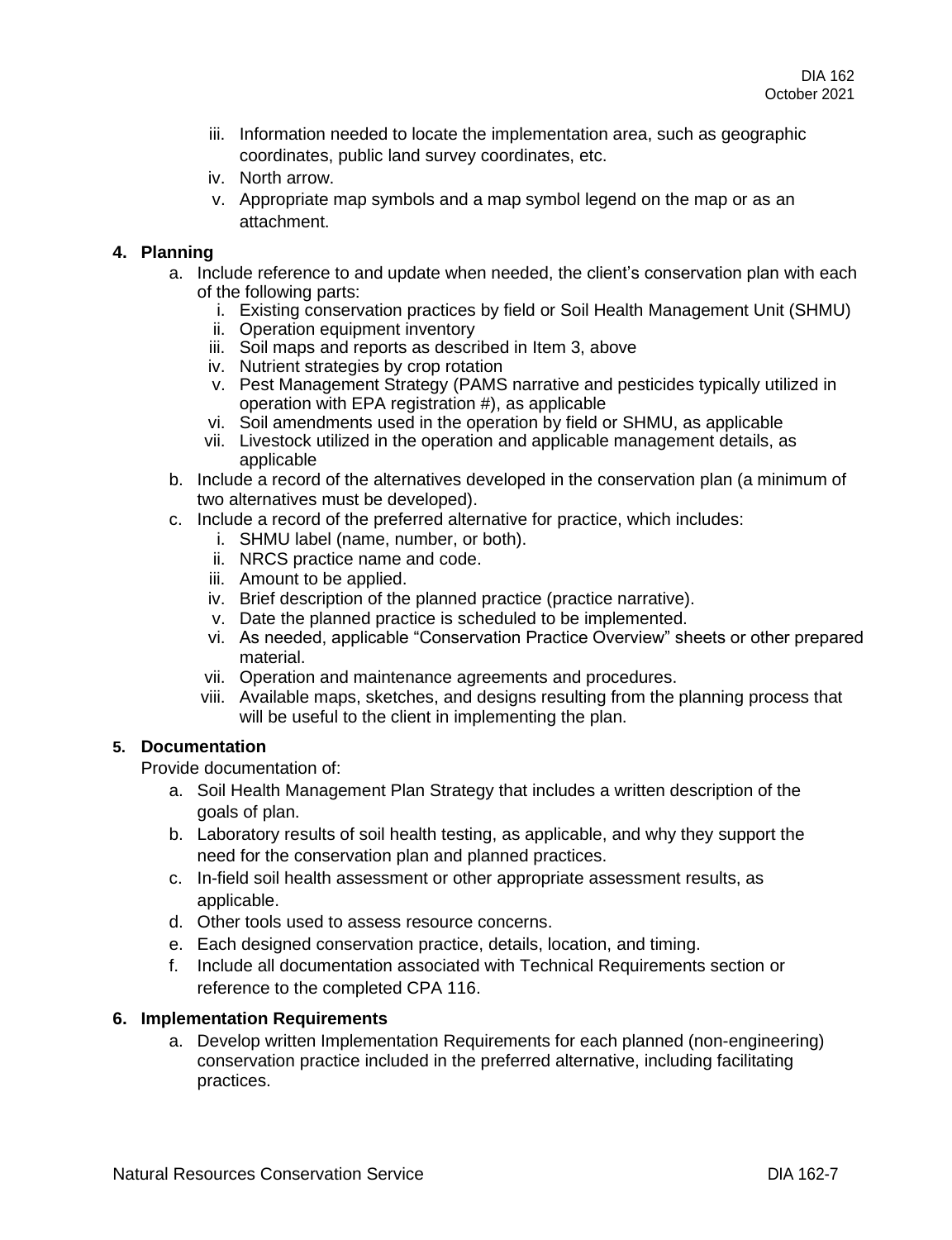- iii. Information needed to locate the implementation area, such as geographic coordinates, public land survey coordinates, etc.
- iv. North arrow.
- v. Appropriate map symbols and a map symbol legend on the map or as an attachment.

### **4. Planning**

- a. Include reference to and update when needed, the client's conservation plan with each of the following parts:
	- i. Existing conservation practices by field or Soil Health Management Unit (SHMU)
	- ii. Operation equipment inventory
	- iii. Soil maps and reports as described in Item 3, above
	- iv. Nutrient strategies by crop rotation
	- v. Pest Management Strategy (PAMS narrative and pesticides typically utilized in operation with EPA registration #), as applicable
	- vi. Soil amendments used in the operation by field or SHMU, as applicable
	- vii. Livestock utilized in the operation and applicable management details, as applicable
- b. Include a record of the alternatives developed in the conservation plan (a minimum of two alternatives must be developed).
- c. Include a record of the preferred alternative for practice, which includes:
	- i. SHMU label (name, number, or both).
	- ii. NRCS practice name and code.
	- iii. Amount to be applied.
	- iv. Brief description of the planned practice (practice narrative).
	- v. Date the planned practice is scheduled to be implemented.
	- vi. As needed, applicable "Conservation Practice Overview" sheets or other prepared material.
	- vii. Operation and maintenance agreements and procedures.
	- viii. Available maps, sketches, and designs resulting from the planning process that will be useful to the client in implementing the plan.

# **5. Documentation**

Provide documentation of:

- a. Soil Health Management Plan Strategy that includes a written description of the goals of plan.
- b. Laboratory results of soil health testing, as applicable, and why they support the need for the conservation plan and planned practices.
- c. In-field soil health assessment or other appropriate assessment results, as applicable.
- d. Other tools used to assess resource concerns.
- e. Each designed conservation practice, details, location, and timing.
- f. Include all documentation associated with Technical Requirements section or reference to the completed CPA 116.

#### **6. Implementation Requirements**

a. Develop written Implementation Requirements for each planned (non-engineering) conservation practice included in the preferred alternative, including facilitating practices.